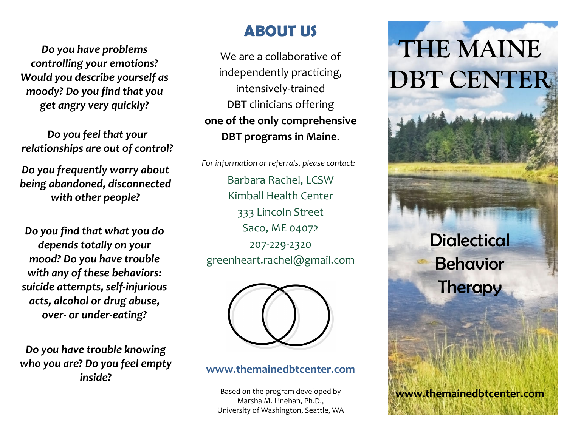*Do you have problems controlling your emotions? Would you describe yourself as moody? Do you find that you get angry very quickly?* 

*Do you feel that your relationships are out of control?*

*Do you frequently worry about being abandoned, disconnected with other people?* 

*Do you find that what you do depends totally on your mood? Do you have trouble with any of these behaviors: suicide attempts, self-injurious acts, alcohol or drug abuse, over- or under-eating?* 

*Do you have trouble knowing who you are? Do you feel emptyinside?*

## **ABOUT US**

We are a collaborative of independently practicing, intensively-trained DBT clinicians offering **one of the only comprehensive DBT programs in Maine**.

*For information or referrals, please contact:*  Barbara Rachel, LCSW Kimball Health Center 333 Lincoln Street Saco, ME 04072 207-229-2320 greenheart.rachel@gmail.com



#### **www.themainedbtcenter.com**

Based on the program developed by Marsha M. Linehan, Ph.D., University of Washington, Seattle, WA

# **THE MAINE DBT CENTER**

**Dialectical** 

Behavior

**Therapy** 

**www.themainedbtcenter.com**